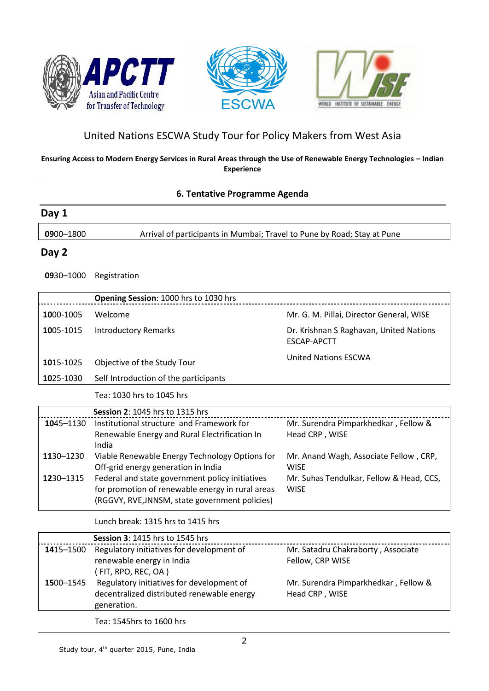





# United Nations ESCWA Study Tour for Policy Makers from West Asia

#### **Ensuring Access to Modern Energy Services in Rural Areas through the Use of Renewable Energy Technologies – Indian Experience**

### **6. Tentative Programme Agenda**

| Day 1     |                                                                                                                                                       |                                                               |
|-----------|-------------------------------------------------------------------------------------------------------------------------------------------------------|---------------------------------------------------------------|
| 0900-1800 | Arrival of participants in Mumbai; Travel to Pune by Road; Stay at Pune                                                                               |                                                               |
| Day 2     |                                                                                                                                                       |                                                               |
| 0930-1000 | Registration                                                                                                                                          |                                                               |
|           | Opening Session: 1000 hrs to 1030 hrs                                                                                                                 |                                                               |
| 1000-1005 | Welcome                                                                                                                                               | Mr. G. M. Pillai, Director General, WISE                      |
| 1005-1015 | <b>Introductory Remarks</b>                                                                                                                           | Dr. Krishnan S Raghavan, United Nations<br><b>ESCAP-APCTT</b> |
| 1015-1025 | Objective of the Study Tour                                                                                                                           | <b>United Nations ESCWA</b>                                   |
| 1025-1030 | Self Introduction of the participants                                                                                                                 |                                                               |
|           | Tea: 1030 hrs to 1045 hrs                                                                                                                             |                                                               |
|           | Session 2: 1045 hrs to 1315 hrs                                                                                                                       |                                                               |
| 1045-1130 | Institutional structure and Framework for<br>Renewable Energy and Rural Electrification In<br>India                                                   | Mr. Surendra Pimparkhedkar, Fellow &<br>Head CRP, WISE        |
| 1130-1230 | Viable Renewable Energy Technology Options for<br>Off-grid energy generation in India                                                                 | Mr. Anand Wagh, Associate Fellow, CRP,<br><b>WISF</b>         |
| 1230-1315 | Federal and state government policy initiatives<br>for promotion of renewable energy in rural areas<br>(RGGVY, RVE, JNNSM, state government policies) | Mr. Suhas Tendulkar, Fellow & Head, CCS,<br><b>WISE</b>       |
|           | Lunch break: 1315 hrs to 1415 hrs                                                                                                                     |                                                               |
|           | Session 3: 1415 hrs to 1545 hrs                                                                                                                       |                                                               |

|           | <b>Session 3: 1415 hrs to 1545 hrs</b>                                                                                                                                                                                                                                                                                                                                               |                                                        |
|-----------|--------------------------------------------------------------------------------------------------------------------------------------------------------------------------------------------------------------------------------------------------------------------------------------------------------------------------------------------------------------------------------------|--------------------------------------------------------|
| 1415-1500 | Regulatory initiatives for development of<br>renewable energy in India                                                                                                                                                                                                                                                                                                               | Mr. Satadru Chakraborty, Associate<br>Fellow, CRP WISE |
| 1500-1545 | (FIT, RPO, REC, OA)<br>Regulatory initiatives for development of<br>decentralized distributed renewable energy<br>generation.                                                                                                                                                                                                                                                        | Mr. Surendra Pimparkhedkar, Fellow &<br>Head CRP, WISE |
|           | $\overline{a}$ $\overline{a}$ $\overline{a}$ $\overline{a}$ $\overline{a}$ $\overline{a}$ $\overline{a}$ $\overline{a}$ $\overline{a}$ $\overline{a}$ $\overline{a}$ $\overline{a}$ $\overline{a}$ $\overline{a}$ $\overline{a}$ $\overline{a}$ $\overline{a}$ $\overline{a}$ $\overline{a}$ $\overline{a}$ $\overline{a}$ $\overline{a}$ $\overline{a}$ $\overline{a}$ $\overline{$ |                                                        |

Tea: 1545hrs to 1600 hrs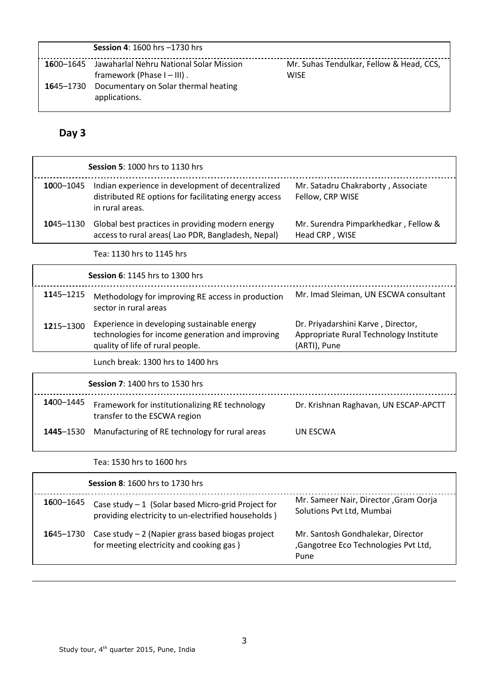|           | <b>Session 4: 1600 hrs -1730 hrs</b>                                     |                                                         |
|-----------|--------------------------------------------------------------------------|---------------------------------------------------------|
| 1600–1645 | Jawaharlal Nehru National Solar Mission<br>framework (Phase $I - III$ ). | Mr. Suhas Tendulkar, Fellow & Head, CCS,<br><b>WISE</b> |
| 1645–1730 | Documentary on Solar thermal heating<br>applications.                    |                                                         |

# **Day 3**

|           | <b>Session 5: 1000 hrs to 1130 hrs</b>                                                                                              |                                                                                              |
|-----------|-------------------------------------------------------------------------------------------------------------------------------------|----------------------------------------------------------------------------------------------|
| 1000-1045 | Indian experience in development of decentralized<br>distributed RE options for facilitating energy access<br>in rural areas.       | Mr. Satadru Chakraborty, Associate<br>Fellow, CRP WISE                                       |
| 1045-1130 | Global best practices in providing modern energy<br>access to rural areas(Lao PDR, Bangladesh, Nepal)                               | Mr. Surendra Pimparkhedkar, Fellow &<br>Head CRP, WISE                                       |
|           | Tea: 1130 hrs to 1145 hrs                                                                                                           |                                                                                              |
|           | <b>Session 6: 1145 hrs to 1300 hrs</b>                                                                                              |                                                                                              |
| 1145-1215 | Methodology for improving RE access in production<br>sector in rural areas                                                          | Mr. Imad Sleiman, UN ESCWA consultant                                                        |
| 1215-1300 | Experience in developing sustainable energy<br>technologies for income generation and improving<br>quality of life of rural people. | Dr. Priyadarshini Karve, Director,<br>Appropriate Rural Technology Institute<br>(ARTI), Pune |
|           | Lunch break: 1300 hrs to 1400 hrs                                                                                                   |                                                                                              |
|           | <b>Session 7: 1400 hrs to 1530 hrs</b>                                                                                              |                                                                                              |
| 1400-1445 | Framework for institutionalizing RE technology<br>transfer to the ESCWA region                                                      | Dr. Krishnan Raghavan, UN ESCAP-APCTT                                                        |
| 1445-1530 | Manufacturing of RE technology for rural areas                                                                                      | UN ESCWA                                                                                     |
|           | Tea: 1530 hrs to 1600 hrs                                                                                                           |                                                                                              |

|           | <b>Session 8: 1600 hrs to 1730 hrs</b>                                                                     |                                                                                   |
|-----------|------------------------------------------------------------------------------------------------------------|-----------------------------------------------------------------------------------|
| 1600–1645 | Case study $-1$ (Solar based Micro-grid Project for<br>providing electricity to un-electrified households) | Mr. Sameer Nair, Director, Gram Oorja<br>Solutions Pvt Ltd, Mumbai                |
| 1645–1730 | Case study $-2$ (Napier grass based biogas project<br>for meeting electricity and cooking gas)             | Mr. Santosh Gondhalekar, Director<br>,Gangotree Eco Technologies Pvt Ltd,<br>Pune |